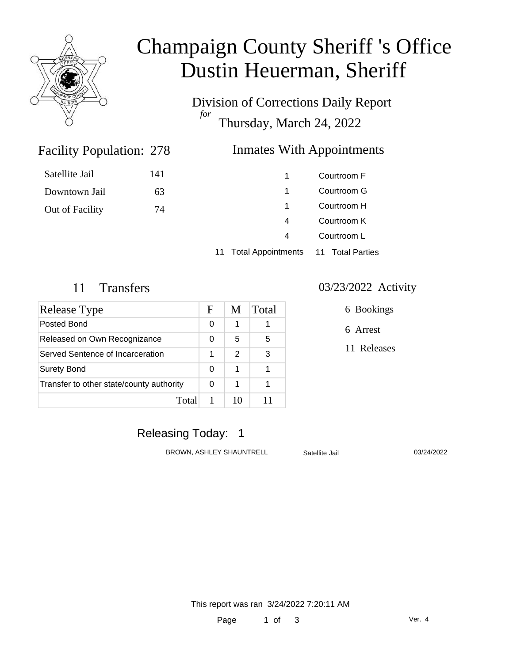

Satellite Jail

Downtown Jail

Out of Facility

# Champaign County Sheriff 's Office Dustin Heuerman, Sheriff

Division of Corrections Daily Report *for* Thursday, March 24, 2022

### Facility Population: 278

### Inmates With Appointments

| 141 | 1. | Courtroom F |
|-----|----|-------------|
| 63  | 1. | Courtroom G |
| 74  | 1. | Courtroom H |
|     | 4  | Courtroom K |
|     |    | Courtroom L |
|     |    |             |

11 Total Appointments 11 Total Parties

| Release Type                             |   | M             | Total |
|------------------------------------------|---|---------------|-------|
| Posted Bond                              |   | 1             |       |
| Released on Own Recognizance             |   | 5             | 5     |
| Served Sentence of Incarceration         |   | $\mathcal{P}$ | 3     |
| <b>Surety Bond</b>                       | 0 | 1             |       |
| Transfer to other state/county authority |   | 1             |       |
| Total                                    |   | 10            |       |

#### 11 Transfers 03/23/2022 Activity

6 Bookings

6 Arrest

11 Releases

### Releasing Today: 1

BROWN, ASHLEY SHAUNTRELL Satellite Jail 03/24/2022

This report was ran 3/24/2022 7:20:11 AM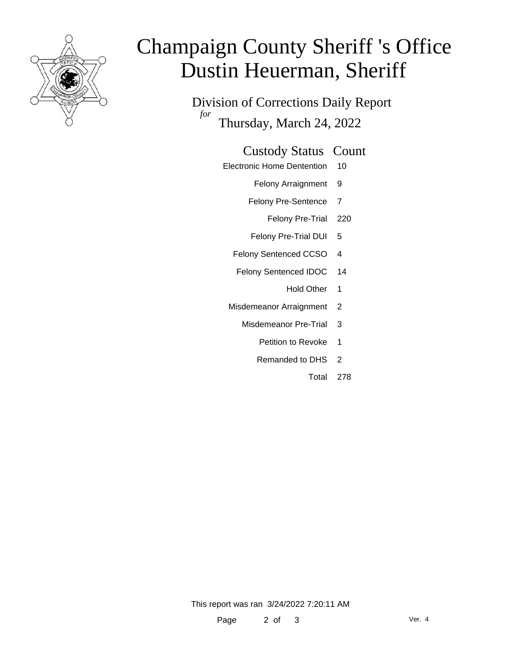

# Champaign County Sheriff 's Office Dustin Heuerman, Sheriff

Division of Corrections Daily Report *for* Thursday, March 24, 2022

#### Custody Status Count

- Electronic Home Dentention 10
	- Felony Arraignment 9
	- Felony Pre-Sentence 7
		- Felony Pre-Trial 220
	- Felony Pre-Trial DUI 5
	- Felony Sentenced CCSO 4
	- Felony Sentenced IDOC 14
		- Hold Other 1
	- Misdemeanor Arraignment 2
		- Misdemeanor Pre-Trial 3
			- Petition to Revoke 1
			- Remanded to DHS 2
				- Total 278

This report was ran 3/24/2022 7:20:11 AM